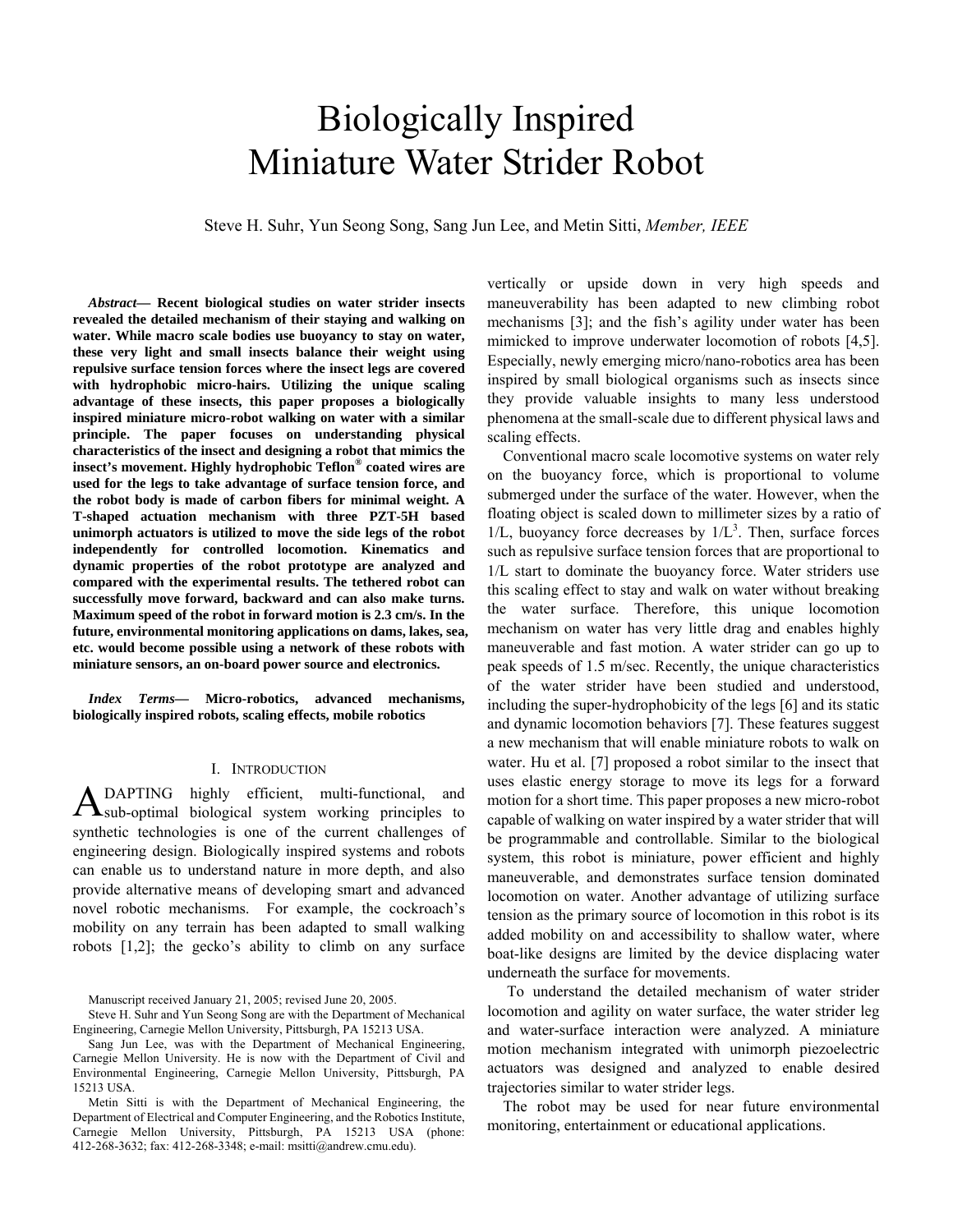# Biologically Inspired Miniature Water Strider Robot

Steve H. Suhr, Yun Seong Song, Sang Jun Lee, and Metin Sitti, *Member, IEEE*

*Abstract***— Recent biological studies on water strider insects revealed the detailed mechanism of their staying and walking on water. While macro scale bodies use buoyancy to stay on water, these very light and small insects balance their weight using repulsive surface tension forces where the insect legs are covered with hydrophobic micro-hairs. Utilizing the unique scaling advantage of these insects, this paper proposes a biologically inspired miniature micro-robot walking on water with a similar principle. The paper focuses on understanding physical characteristics of the insect and designing a robot that mimics the insect's movement. Highly hydrophobic Teflon® coated wires are used for the legs to take advantage of surface tension force, and the robot body is made of carbon fibers for minimal weight. A T-shaped actuation mechanism with three PZT-5H based unimorph actuators is utilized to move the side legs of the robot independently for controlled locomotion. Kinematics and dynamic properties of the robot prototype are analyzed and compared with the experimental results. The tethered robot can successfully move forward, backward and can also make turns. Maximum speed of the robot in forward motion is 2.3 cm/s. In the future, environmental monitoring applications on dams, lakes, sea, etc. would become possible using a network of these robots with miniature sensors, an on-board power source and electronics.** 

*Index Terms***— Micro-robotics, advanced mechanisms, biologically inspired robots, scaling effects, mobile robotics** 

#### I. INTRODUCTION

DAPTING highly efficient, multi-functional, and A DAPTING highly efficient, multi-functional, and Sub-optimal biological system working principles to synthetic technologies is one of the current challenges of engineering design. Biologically inspired systems and robots can enable us to understand nature in more depth, and also provide alternative means of developing smart and advanced novel robotic mechanisms. For example, the cockroach's mobility on any terrain has been adapted to small walking robots [1,2]; the gecko's ability to climb on any surface

Manuscript received January 21, 2005; revised June 20, 2005.

Steve H. Suhr and Yun Seong Song are with the Department of Mechanical Engineering, Carnegie Mellon University, Pittsburgh, PA 15213 USA.

Sang Jun Lee, was with the Department of Mechanical Engineering, Carnegie Mellon University. He is now with the Department of Civil and Environmental Engineering, Carnegie Mellon University, Pittsburgh, PA 15213 USA.

Metin Sitti is with the Department of Mechanical Engineering, the Department of Electrical and Computer Engineering, and the Robotics Institute, Carnegie Mellon University, Pittsburgh, PA 15213 USA (phone: 412-268-3632; fax: 412-268-3348; e-mail: msitti@andrew.cmu.edu).

vertically or upside down in very high speeds and maneuverability has been adapted to new climbing robot mechanisms [3]; and the fish's agility under water has been mimicked to improve underwater locomotion of robots [4,5]. Especially, newly emerging micro/nano-robotics area has been inspired by small biological organisms such as insects since they provide valuable insights to many less understood phenomena at the small-scale due to different physical laws and scaling effects.

Conventional macro scale locomotive systems on water rely on the buoyancy force, which is proportional to volume submerged under the surface of the water. However, when the floating object is scaled down to millimeter sizes by a ratio of  $1/L$ , buoyancy force decreases by  $1/L<sup>3</sup>$ . Then, surface forces such as repulsive surface tension forces that are proportional to 1/L start to dominate the buoyancy force. Water striders use this scaling effect to stay and walk on water without breaking the water surface. Therefore, this unique locomotion mechanism on water has very little drag and enables highly maneuverable and fast motion. A water strider can go up to peak speeds of 1.5 m/sec. Recently, the unique characteristics of the water strider have been studied and understood, including the super-hydrophobicity of the legs [6] and its static and dynamic locomotion behaviors [7]. These features suggest a new mechanism that will enable miniature robots to walk on water. Hu et al. [7] proposed a robot similar to the insect that uses elastic energy storage to move its legs for a forward motion for a short time. This paper proposes a new micro-robot capable of walking on water inspired by a water strider that will be programmable and controllable. Similar to the biological system, this robot is miniature, power efficient and highly maneuverable, and demonstrates surface tension dominated locomotion on water. Another advantage of utilizing surface tension as the primary source of locomotion in this robot is its added mobility on and accessibility to shallow water, where boat-like designs are limited by the device displacing water underneath the surface for movements.

 To understand the detailed mechanism of water strider locomotion and agility on water surface, the water strider leg and water-surface interaction were analyzed. A miniature motion mechanism integrated with unimorph piezoelectric actuators was designed and analyzed to enable desired trajectories similar to water strider legs.

The robot may be used for near future environmental monitoring, entertainment or educational applications.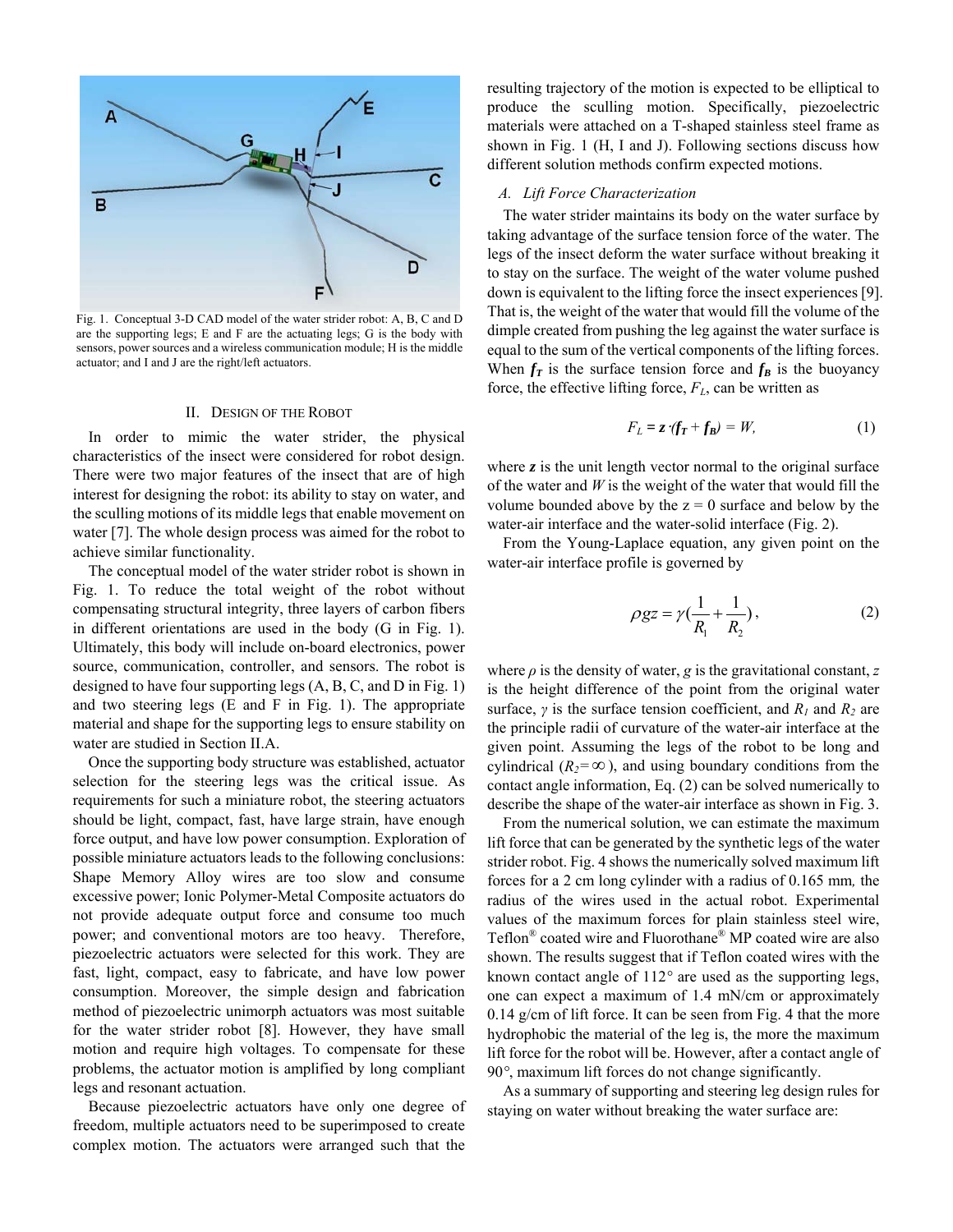

Fig. 1. Conceptual 3-D CAD model of the water strider robot: A, B, C and D are the supporting legs; E and F are the actuating legs; G is the body with sensors, power sources and a wireless communication module; H is the middle actuator; and I and J are the right/left actuators.

#### II. DESIGN OF THE ROBOT

In order to mimic the water strider, the physical characteristics of the insect were considered for robot design. There were two major features of the insect that are of high interest for designing the robot: its ability to stay on water, and the sculling motions of its middle legs that enable movement on water [7]. The whole design process was aimed for the robot to achieve similar functionality.

The conceptual model of the water strider robot is shown in Fig. 1. To reduce the total weight of the robot without compensating structural integrity, three layers of carbon fibers in different orientations are used in the body (G in Fig. 1). Ultimately, this body will include on-board electronics, power source, communication, controller, and sensors. The robot is designed to have four supporting legs (A, B, C, and D in Fig. 1) and two steering legs (E and F in Fig. 1). The appropriate material and shape for the supporting legs to ensure stability on water are studied in Section II.A.

Once the supporting body structure was established, actuator selection for the steering legs was the critical issue. As requirements for such a miniature robot, the steering actuators should be light, compact, fast, have large strain, have enough force output, and have low power consumption. Exploration of possible miniature actuators leads to the following conclusions: Shape Memory Alloy wires are too slow and consume excessive power; Ionic Polymer-Metal Composite actuators do not provide adequate output force and consume too much power; and conventional motors are too heavy. Therefore, piezoelectric actuators were selected for this work. They are fast, light, compact, easy to fabricate, and have low power consumption. Moreover, the simple design and fabrication method of piezoelectric unimorph actuators was most suitable for the water strider robot [8]. However, they have small motion and require high voltages. To compensate for these problems, the actuator motion is amplified by long compliant legs and resonant actuation.

Because piezoelectric actuators have only one degree of freedom, multiple actuators need to be superimposed to create complex motion. The actuators were arranged such that the

resulting trajectory of the motion is expected to be elliptical to produce the sculling motion. Specifically, piezoelectric materials were attached on a T-shaped stainless steel frame as shown in Fig. 1 (H, I and J). Following sections discuss how different solution methods confirm expected motions.

### *A. Lift Force Characterization*

The water strider maintains its body on the water surface by taking advantage of the surface tension force of the water. The legs of the insect deform the water surface without breaking it to stay on the surface. The weight of the water volume pushed down is equivalent to the lifting force the insect experiences [9]. That is, the weight of the water that would fill the volume of the dimple created from pushing the leg against the water surface is equal to the sum of the vertical components of the lifting forces. When  $f_T$  is the surface tension force and  $f_B$  is the buoyancy force, the effective lifting force,  $F<sub>L</sub>$ , can be written as

$$
F_L = z \cdot (f_T + f_B) = W, \tag{1}
$$

where  $z$  is the unit length vector normal to the original surface of the water and *W* is the weight of the water that would fill the volume bounded above by the  $z = 0$  surface and below by the water-air interface and the water-solid interface (Fig. 2).

From the Young-Laplace equation, any given point on the water-air interface profile is governed by

$$
\rho gz = \gamma \left(\frac{1}{R_1} + \frac{1}{R_2}\right),\tag{2}
$$

where  $\rho$  is the density of water,  $g$  is the gravitational constant,  $z$ is the height difference of the point from the original water surface,  $\gamma$  is the surface tension coefficient, and  $R_1$  and  $R_2$  are the principle radii of curvature of the water-air interface at the given point. Assuming the legs of the robot to be long and cylindrical ( $R_2 = \infty$ ), and using boundary conditions from the contact angle information, Eq. (2) can be solved numerically to describe the shape of the water-air interface as shown in Fig. 3.

From the numerical solution, we can estimate the maximum lift force that can be generated by the synthetic legs of the water strider robot. Fig. 4 shows the numerically solved maximum lift forces for a 2 cm long cylinder with a radius of 0.165 mm*,* the radius of the wires used in the actual robot. Experimental values of the maximum forces for plain stainless steel wire, Teflon® coated wire and Fluorothane® MP coated wire are also shown. The results suggest that if Teflon coated wires with the known contact angle of 112*°* are used as the supporting legs, one can expect a maximum of 1.4 mN/cm or approximately 0.14 g/cm of lift force. It can be seen from Fig. 4 that the more hydrophobic the material of the leg is, the more the maximum lift force for the robot will be. However, after a contact angle of 90*°*, maximum lift forces do not change significantly.

As a summary of supporting and steering leg design rules for staying on water without breaking the water surface are: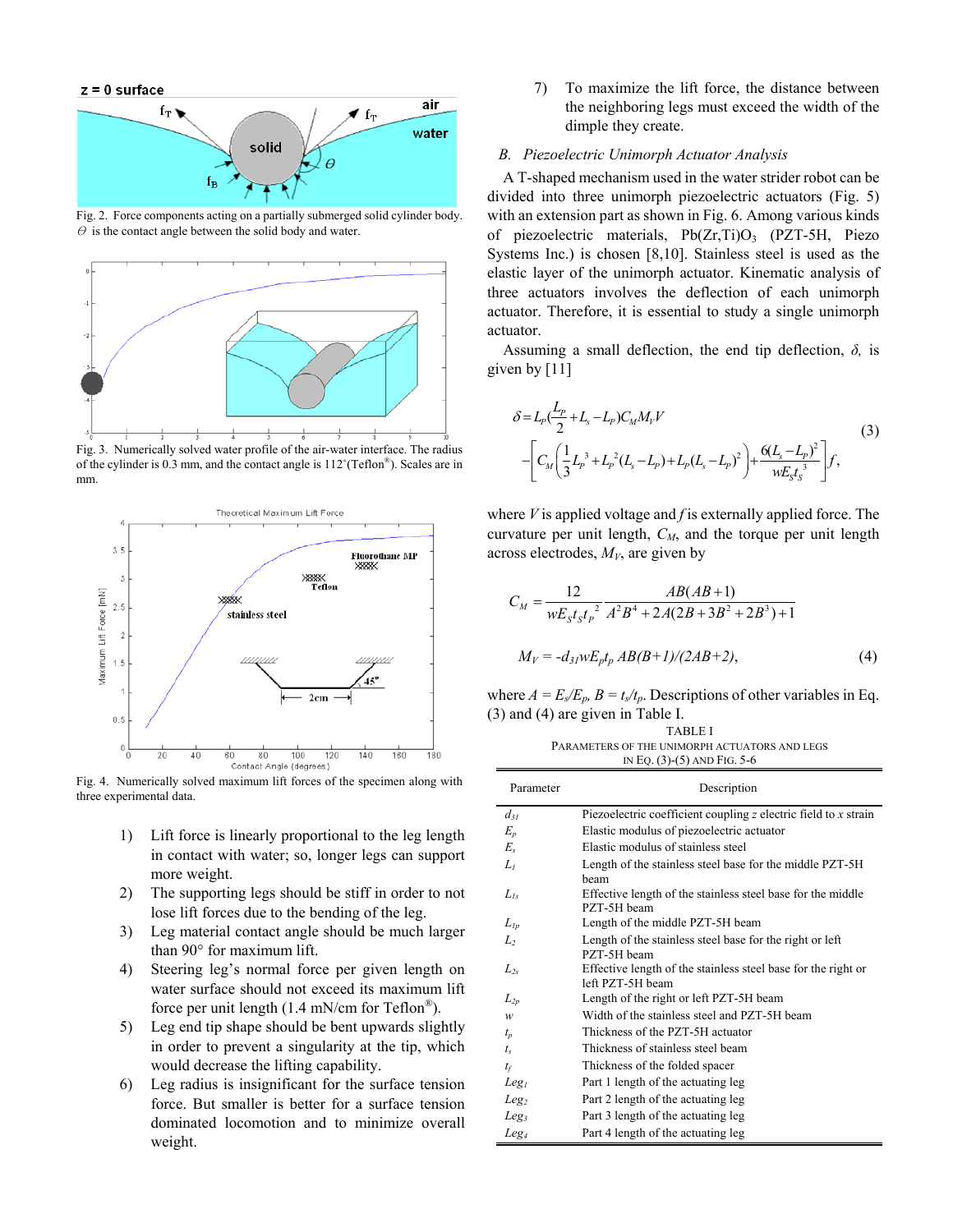

Fig. 2. Force components acting on a partially submerged solid cylinder body.  $\theta$  is the contact angle between the solid body and water.



Fig. 3. Numerically solved water profile of the air-water interface. The radius of the cylinder is 0.3 mm, and the contact angle is 112˚(Teflon®). Scales are in mm.



Fig. 4. Numerically solved maximum lift forces of the specimen along with three experimental data.

- 1) Lift force is linearly proportional to the leg length in contact with water; so, longer legs can support more weight.
- 2) The supporting legs should be stiff in order to not lose lift forces due to the bending of the leg.
- 3) Leg material contact angle should be much larger than 90° for maximum lift.
- 4) Steering leg's normal force per given length on water surface should not exceed its maximum lift force per unit length (1.4 mN/cm for Teflon®).
- 5) Leg end tip shape should be bent upwards slightly in order to prevent a singularity at the tip, which would decrease the lifting capability.
- 6) Leg radius is insignificant for the surface tension force. But smaller is better for a surface tension dominated locomotion and to minimize overall weight.

7) To maximize the lift force, the distance between the neighboring legs must exceed the width of the dimple they create.

# *B. Piezoelectric Unimorph Actuator Analysis*

A T-shaped mechanism used in the water strider robot can be divided into three unimorph piezoelectric actuators (Fig. 5) with an extension part as shown in Fig. 6. Among various kinds of piezoelectric materials,  $Pb(Zr,Ti)O<sub>3</sub>$  (PZT-5H, Piezo Systems Inc.) is chosen [8,10]. Stainless steel is used as the elastic layer of the unimorph actuator. Kinematic analysis of three actuators involves the deflection of each unimorph actuator. Therefore, it is essential to study a single unimorph actuator.

Assuming a small deflection, the end tip deflection, *δ,* is given by [11]

$$
\delta = L_p \left( \frac{L_p}{2} + L_s - L_p \right) C_M M_V V
$$
\n
$$
- \left[ C_M \left( \frac{1}{3} L_p^3 + L_p^2 (L_s - L_p) + L_p (L_s - L_p)^2 \right) + \frac{6 (L_s - L_p)^2}{w E_s t_s^3} \right] f,
$$
\n(3)

where *V* is applied voltage and *f* is externally applied force. The curvature per unit length,  $C_M$ , and the torque per unit length across electrodes,  $M_V$ , are given by

$$
C_M = \frac{12}{wE_s t_s t_p^2} \frac{AB(AB+1)}{A^2B^4 + 2A(2B + 3B^2 + 2B^3) + 1}
$$
  

$$
M_V = -d_{31}wE_p t_p AB(B+1)/(2AB+2),
$$
 (4)

where  $A = E_s/E_p$ ,  $B = t_s/t_p$ . Descriptions of other variables in Eq. (3) and (4) are given in Table I.

| <b>TABLE I</b>                                |
|-----------------------------------------------|
| PARAMETERS OF THE UNIMORPH ACTUATORS AND LEGS |
| IN EQ. $(3)-(5)$ AND FIG. 5-6                 |

| Parameter        | Description                                                                       |  |  |
|------------------|-----------------------------------------------------------------------------------|--|--|
| $d_{31}$         | Piezoelectric coefficient coupling $z$ electric field to $x$ strain               |  |  |
| $E_p$            | Elastic modulus of piezoelectric actuator                                         |  |  |
| $E_{s}$          | Elastic modulus of stainless steel                                                |  |  |
| L1               | Length of the stainless steel base for the middle PZT-5H<br>heam                  |  |  |
| $L_{ls}$         | Effective length of the stainless steel base for the middle<br>PZT-5H beam        |  |  |
| $L_{lp}$         | Length of the middle PZT-5H beam                                                  |  |  |
| L,               | Length of the stainless steel base for the right or left<br>PZT-5H beam           |  |  |
| $L_{2s}$         | Effective length of the stainless steel base for the right or<br>left PZT-5H beam |  |  |
| $L_{2p}$         | Length of the right or left PZT-5H beam                                           |  |  |
| w                | Width of the stainless steel and PZT-5H beam                                      |  |  |
| $t_{p}$          | Thickness of the PZT-5H actuator                                                  |  |  |
| $t_{\rm s}$      | Thickness of stainless steel beam                                                 |  |  |
| $t_f$            | Thickness of the folded spacer                                                    |  |  |
| Leg <sub>l</sub> | Part 1 length of the actuating leg                                                |  |  |
| Leg <sub>2</sub> | Part 2 length of the actuating leg                                                |  |  |
| Leg <sub>3</sub> | Part 3 length of the actuating leg                                                |  |  |
| Leg <sub>4</sub> | Part 4 length of the actuating leg                                                |  |  |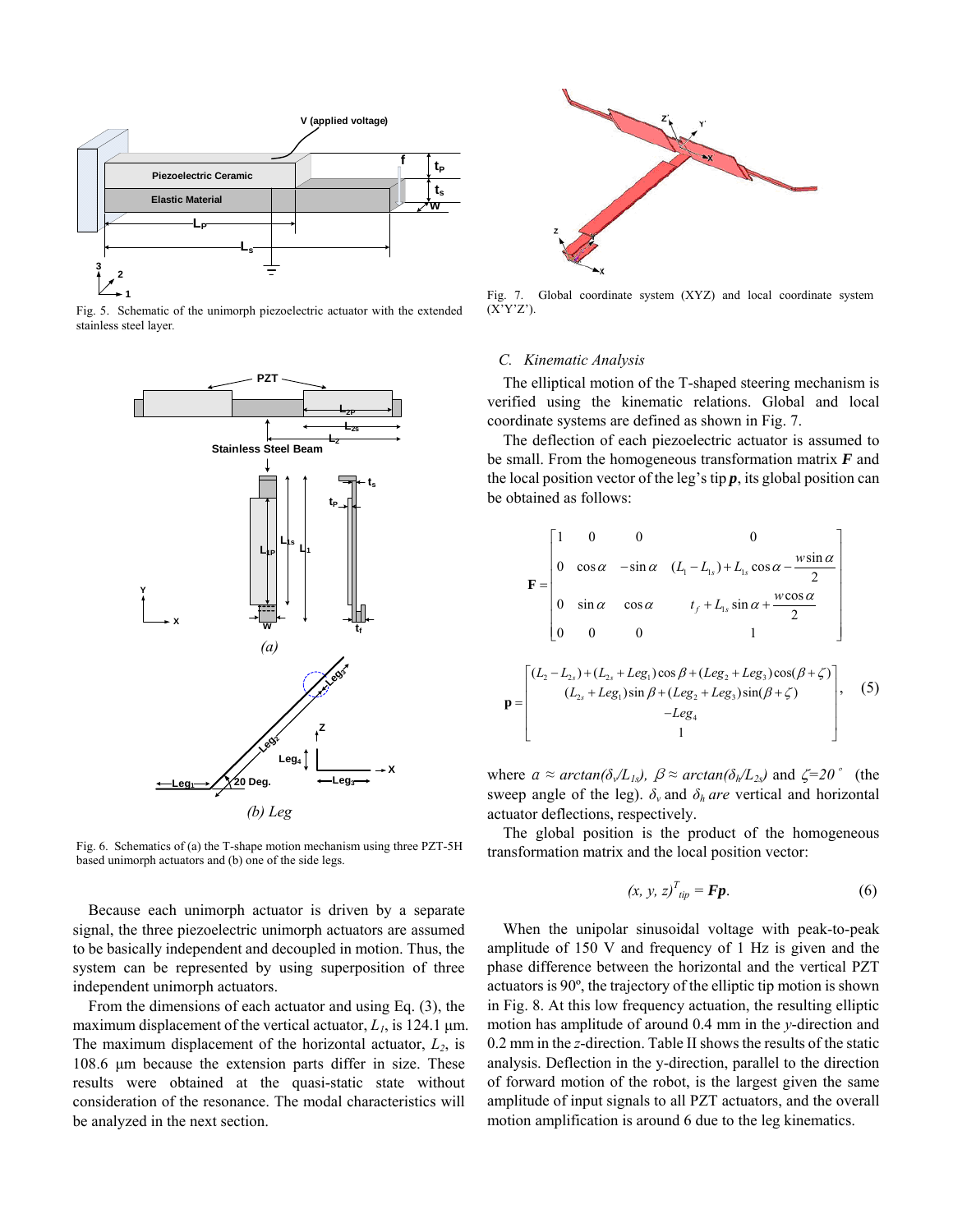

Fig. 5. Schematic of the unimorph piezoelectric actuator with the extended stainless steel layer*.* 



Fig. 6. Schematics of (a) the T-shape motion mechanism using three PZT-5H based unimorph actuators and (b) one of the side legs.

Because each unimorph actuator is driven by a separate signal, the three piezoelectric unimorph actuators are assumed to be basically independent and decoupled in motion. Thus, the system can be represented by using superposition of three independent unimorph actuators.

From the dimensions of each actuator and using Eq. (3), the maximum displacement of the vertical actuator,  $L_1$ , is 124.1  $\mu$ m. The maximum displacement of the horizontal actuator,  $L_2$ , is 108.6 μm because the extension parts differ in size. These results were obtained at the quasi-static state without consideration of the resonance. The modal characteristics will be analyzed in the next section.



Fig. 7. Global coordinate system (XYZ) and local coordinate system (X'Y'Z').

## *C. Kinematic Analysis*

**p**

The elliptical motion of the T-shaped steering mechanism is verified using the kinematic relations. Global and local coordinate systems are defined as shown in Fig. 7.

The deflection of each piezoelectric actuator is assumed to be small. From the homogeneous transformation matrix *F* and the local position vector of the leg's tip  $p$ , its global position can be obtained as follows:

$$
\mathbf{F} = \begin{bmatrix} 1 & 0 & 0 & 0 & 0 \\ 0 & \cos \alpha & -\sin \alpha & (L_1 - L_{1s}) + L_{1s} \cos \alpha - \frac{w \sin \alpha}{2} \\ 0 & \sin \alpha & \cos \alpha & t_f + L_{1s} \sin \alpha + \frac{w \cos \alpha}{2} \\ 0 & 0 & 0 & 1 \end{bmatrix}
$$

$$
\mathbf{p} = \begin{bmatrix} (L_2 - L_{2s}) + (L_{2s} + Leg_1) \cos \beta + (Leg_2 + Leg_3) \cos(\beta + \zeta) \\ (L_{2s} + Leg_1) \sin \beta + (Leg_2 + Leg_3) \sin(\beta + \zeta) \\ 1 \end{bmatrix}, \quad (5)
$$

where  $a \approx \arctan(\delta \sqrt{L_{1s}})$ ,  $\beta \approx \arctan(\delta h/L_{2s})$  and  $\zeta = 20^\circ$  (the sweep angle of the leg).  $\delta_{\nu}$  and  $\delta_{h}$  *are* vertical and horizontal actuator deflections, respectively.

The global position is the product of the homogeneous transformation matrix and the local position vector:

$$
(x, y, z)^{T}_{\text{tip}} = \mathbf{Fp}.
$$
 (6)

When the unipolar sinusoidal voltage with peak-to-peak amplitude of 150 V and frequency of 1 Hz is given and the phase difference between the horizontal and the vertical PZT actuators is 90º, the trajectory of the elliptic tip motion is shown in Fig. 8. At this low frequency actuation, the resulting elliptic motion has amplitude of around 0.4 mm in the *y*-direction and 0.2 mm in the *z*-direction. Table II shows the results of the static analysis. Deflection in the y-direction, parallel to the direction of forward motion of the robot, is the largest given the same amplitude of input signals to all PZT actuators, and the overall motion amplification is around 6 due to the leg kinematics.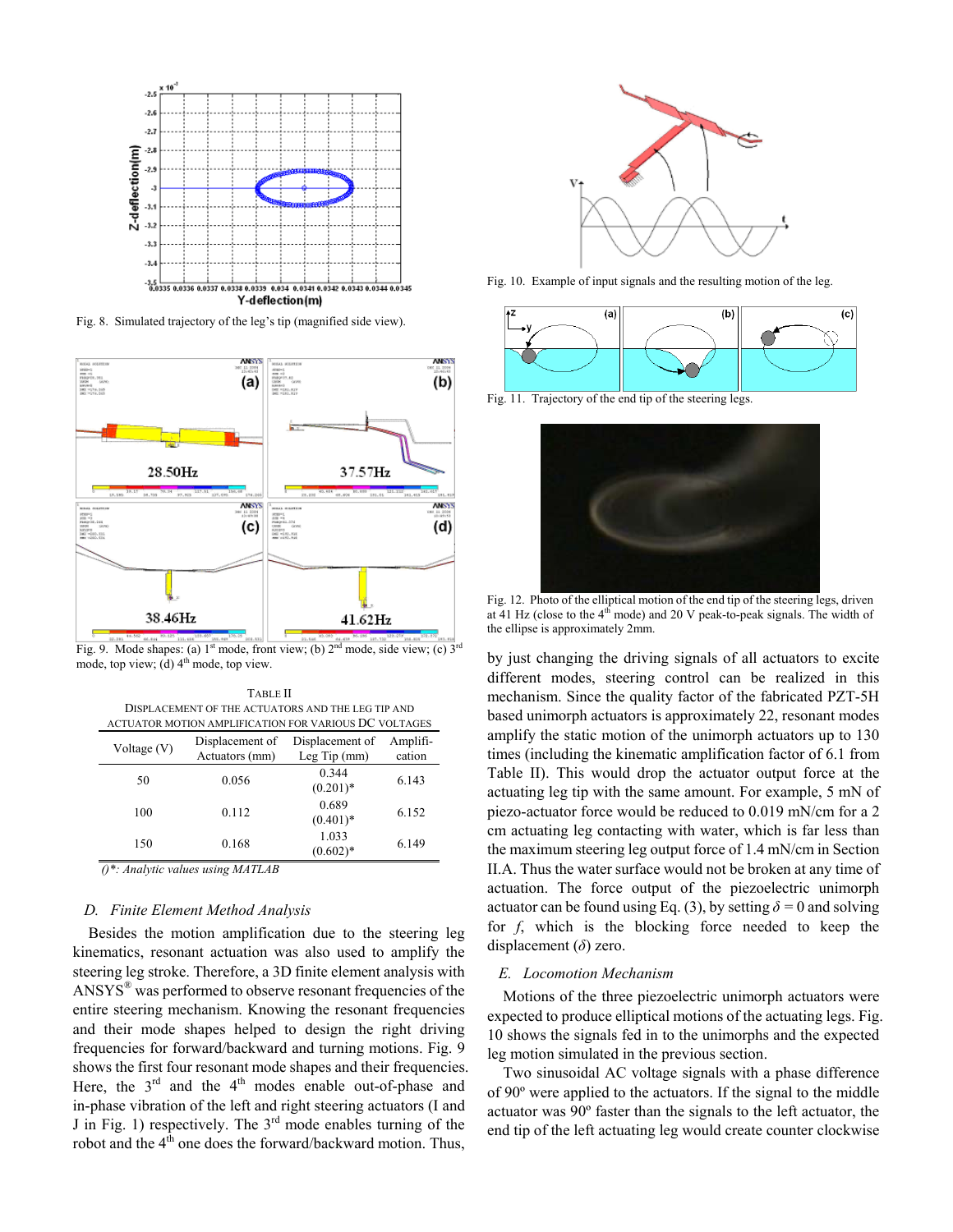

Fig. 8. Simulated trajectory of the leg's tip (magnified side view).



Fig. 9. Mode shapes: (a)  $1^{st}$  mode, front view; (b)  $2^{nd}$  mode, side view; (c)  $3^{rd}$ mode, top view; (d)  $4<sup>th</sup>$  mode, top view.

TABLE II DISPLACEMENT OF THE ACTUATORS AND THE LEG TIP AND ACTUATOR MOTION AMPLIFICATION FOR VARIOUS DC VOLTAGES

| Voltage (V) | Displacement of<br>Actuators (mm) | Displacement of<br>Leg Tip $(mm)$ | Amplifi-<br>cation |
|-------------|-----------------------------------|-----------------------------------|--------------------|
| 50          | 0.056                             | 0.344<br>$(0.201)$ *              | 6.143              |
| 100         | 0.112                             | 0.689<br>$(0.401)$ *              | 6.152              |
| 150         | 0.168                             | 1.033<br>$(0.602)*$               | 6.149              |

*()\*: Analytic values using MATLAB*

## *D. Finite Element Method Analysis*

Besides the motion amplification due to the steering leg kinematics, resonant actuation was also used to amplify the steering leg stroke. Therefore, a 3D finite element analysis with ANSYS® was performed to observe resonant frequencies of the entire steering mechanism. Knowing the resonant frequencies and their mode shapes helped to design the right driving frequencies for forward/backward and turning motions. Fig. 9 shows the first four resonant mode shapes and their frequencies. Here, the  $3<sup>rd</sup>$  and the  $4<sup>th</sup>$  modes enable out-of-phase and in-phase vibration of the left and right steering actuators (I and J in Fig. 1) respectively. The  $3<sup>rd</sup>$  mode enables turning of the robot and the  $4<sup>th</sup>$  one does the forward/backward motion. Thus,



Fig. 10. Example of input signals and the resulting motion of the leg.



Fig. 11. Trajectory of the end tip of the steering legs.



Fig. 12. Photo of the elliptical motion of the end tip of the steering legs, driven at 41 Hz (close to the  $4<sup>th</sup>$  mode) and 20 V peak-to-peak signals. The width of the ellipse is approximately 2mm.

by just changing the driving signals of all actuators to excite different modes, steering control can be realized in this mechanism. Since the quality factor of the fabricated PZT-5H based unimorph actuators is approximately 22, resonant modes amplify the static motion of the unimorph actuators up to 130 times (including the kinematic amplification factor of 6.1 from Table II). This would drop the actuator output force at the actuating leg tip with the same amount. For example, 5 mN of piezo-actuator force would be reduced to 0.019 mN/cm for a 2 cm actuating leg contacting with water, which is far less than the maximum steering leg output force of 1.4 mN/cm in Section II.A. Thus the water surface would not be broken at any time of actuation. The force output of the piezoelectric unimorph actuator can be found using Eq. (3), by setting  $\delta = 0$  and solving for *f*, which is the blocking force needed to keep the displacement (*δ*) zero.

#### *E. Locomotion Mechanism*

Motions of the three piezoelectric unimorph actuators were expected to produce elliptical motions of the actuating legs. Fig. 10 shows the signals fed in to the unimorphs and the expected leg motion simulated in the previous section.

Two sinusoidal AC voltage signals with a phase difference of 90º were applied to the actuators. If the signal to the middle actuator was 90º faster than the signals to the left actuator, the end tip of the left actuating leg would create counter clockwise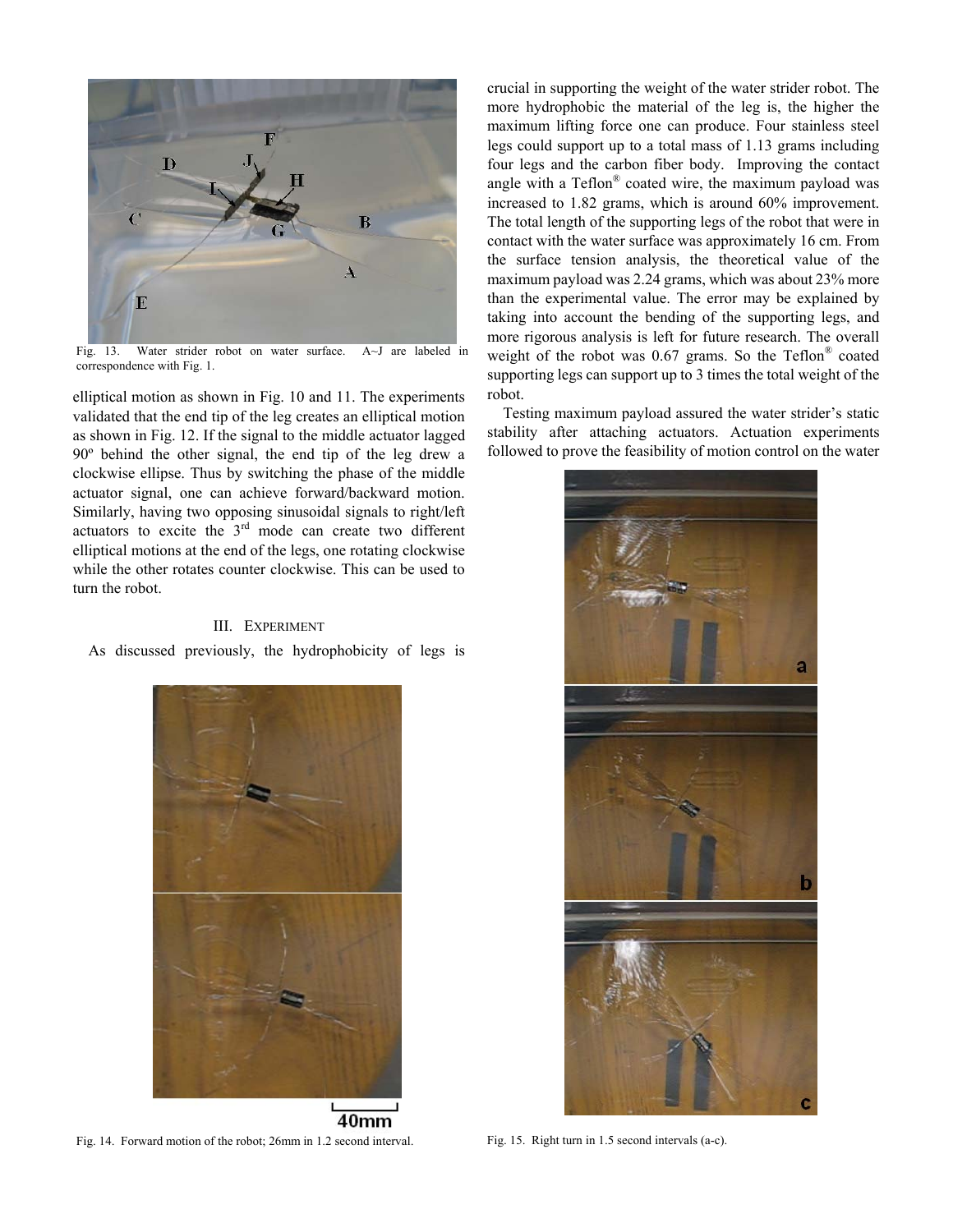

Fig. 13. Water strider robot on water surface. A~J are labeled in correspondence with Fig. 1.

elliptical motion as shown in Fig. 10 and 11. The experiments validated that the end tip of the leg creates an elliptical motion as shown in Fig. 12. If the signal to the middle actuator lagged 90º behind the other signal, the end tip of the leg drew a clockwise ellipse. Thus by switching the phase of the middle actuator signal, one can achieve forward/backward motion. Similarly, having two opposing sinusoidal signals to right/left actuators to excite the 3rd mode can create two different elliptical motions at the end of the legs, one rotating clockwise while the other rotates counter clockwise. This can be used to turn the robot.

# III. EXPERIMENT

As discussed previously, the hydrophobicity of legs is



40mm Fig. 14. Forward motion of the robot; 26mm in 1.2 second interval. Fig. 15. Right turn in 1.5 second intervals (a-c).

crucial in supporting the weight of the water strider robot. The more hydrophobic the material of the leg is, the higher the maximum lifting force one can produce. Four stainless steel legs could support up to a total mass of 1.13 grams including four legs and the carbon fiber body. Improving the contact angle with a Teflon® coated wire, the maximum payload was increased to 1.82 grams, which is around 60% improvement. The total length of the supporting legs of the robot that were in contact with the water surface was approximately 16 cm. From the surface tension analysis, the theoretical value of the maximum payload was 2.24 grams, which was about 23% more than the experimental value. The error may be explained by taking into account the bending of the supporting legs, and more rigorous analysis is left for future research. The overall weight of the robot was  $0.67$  grams. So the Teflon<sup>®</sup> coated supporting legs can support up to 3 times the total weight of the robot.

Testing maximum payload assured the water strider's static stability after attaching actuators. Actuation experiments followed to prove the feasibility of motion control on the water